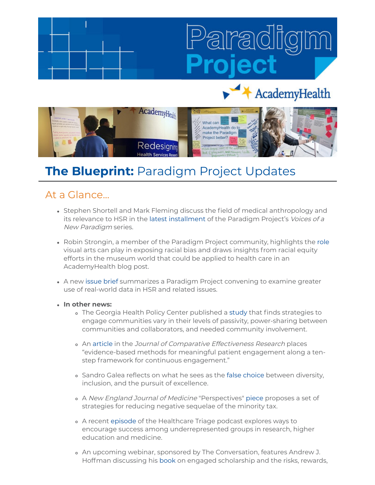# AcademyHealth



## **The Blueprint:** Paradigm Project Updates

### At a Glance...

- Stephen Shortell and Mark Fleming discuss the field of medical anthropology and its relevance to HSR in the [latest installment](https://academyhealth.org/blog/2021-05/medical-anthropologys-role-shifting-paradigm?utm_medium=email&utm_source=rasa_io&PostID=30102885&MessageRunDetailID=5177494357) of the Paradigm Project's Voices of a New Paradigm series.
- Robin Strongin, a member of the Paradigm Project community, highlights the [role](https://academyhealth.org/blog/2021-05/using-arts-address-racism-health-care) visual arts can play in exposing racial bias and draws insights from racial equity efforts in the museum world that could be applied to health care in an AcademyHealth blog post.
- A new [issue brief](https://academyhealth.org/publications/2021-06/new-issue-brief-offers-ways-leverage-real-world-data-hsr) summarizes a Paradigm Project convening to examine greater use of real-world data in HSR and related issues.
- **In other news:**
	- The Georgia Health Policy Center published a [study](https://bmcpublichealth.biomedcentral.com/articles/10.1186/s12889-021-10741-9) that finds strategies to engage communities vary in their levels of passivity, power-sharing between communities and collaborators, and needed community involvement.
	- o An [article](https://www.futuremedicine.com/doi/10.2217/cer-2021-0043) in the Journal of Comparative Effectiveness Research places "evidence-based methods for meaningful patient engagement along a tenstep framework for continuous engagement."
	- Sandro Galea reflects on what he sees as the [false choice](https://sandrogalea.substack.com/p/the-false-choice-between-diversity) between diversity, inclusion, and the pursuit of excellence.
	- o A New England Journal of Medicine "Perspectives" [piece](https://www.nejm.org/doi/full/10.1056/NEJMp2100179) proposes a set of strategies for reducing negative sequelae of the minority tax.
	- A recent [episode](https://theincidentaleconomist.com/wordpress/the-importance-of-diversity-and-equity-in-medicine-and-research-healthcare-triage-podcast/) of the Healthcare Triage podcast explores ways to encourage success among underrepresented groups in research, higher education and medicine.
	- An upcoming webinar, sponsored by The Conversation, features Andrew J. Hoffman discussing his [book](https://www.amazon.com/Engaged-Scholar-Expanding-Academic-Research/dp/1503614816/ref=sr_1_1?dchild=1&keywords=Hoffman+engaged+research&qid=1623162096&sr=8-1) on engaged scholarship and the risks, rewards,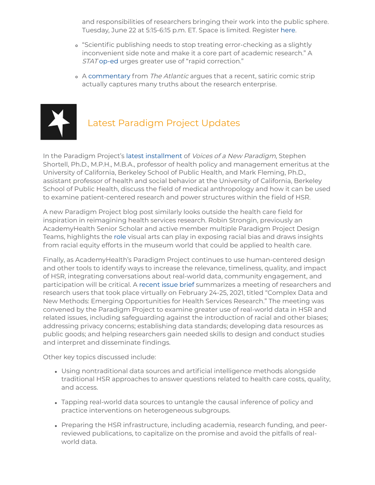and responsibilities of researchers bringing their work into the public sphere. Tuesday, June 22 at 5:15-6:15 p.m. ET. Space is limited. Register [here](https://us02web.zoom.us/webinar/register/WN_kZpdgB5dQfaoNeyCmfiAqA).

- "Scientific publishing needs to stop treating error-checking as a slightly inconvenient side note and make it a core part of academic research." A STAT [op-ed](https://www.statnews.com/2021/06/08/scientific-publishing-new-weapon-for-the-next-crisis-the-rapid-correction/) urges greater use of "rapid correction."
- o A [commentary](https://www.theatlantic.com/science/archive/2021/05/xkcd-science-paper-meme-nails-academic-publishing/618810/) from The Atlantic argues that a recent, satiric comic strip actually captures many truths about the research enterprise.



## Latest Paradigm Project Updates

In the Paradigm Project's [latest installment](https://academyhealth.org/blog/2021-05/medical-anthropologys-role-shifting-paradigm?utm_medium=email&utm_source=rasa_io&PostID=30102885&MessageRunDetailID=5177494357) of *Voices of a New Paradigm*, Stephen Shortell, Ph.D., M.P.H., M.B.A., professor of health policy and management emeritus at the University of California, Berkeley School of Public Health, and Mark Fleming, Ph.D., assistant professor of health and social behavior at the University of California, Berkeley School of Public Health, discuss the field of medical anthropology and how it can be used to examine patient-centered research and power structures within the field of HSR.

A new Paradigm Project blog post similarly looks outside the health care field for inspiration in reimagining health services research. Robin Strongin, previously an AcademyHealth Senior Scholar and active member multiple Paradigm Project Design Teams, highlights the [role](https://academyhealth.org/blog/2021-05/using-arts-address-racism-health-care) visual arts can play in exposing racial bias and draws insights from racial equity efforts in the museum world that could be applied to health care.

Finally, as AcademyHealth's Paradigm Project continues to use human-centered design and other tools to identify ways to increase the relevance, timeliness, quality, and impact of HSR, integrating conversations about real-world data, community engagement, and participation will be critical. A [recent issue brief](https://academyhealth.org/publications/2021-06/new-issue-brief-offers-ways-leverage-real-world-data-hsr) summarizes a meeting of researchers and research users that took place virtually on February 24-25, 2021, titled "Complex Data and New Methods: Emerging Opportunities for Health Services Research." The meeting was convened by the Paradigm Project to examine greater use of real-world data in HSR and related issues, including safeguarding against the introduction of racial and other biases; addressing privacy concerns; establishing data standards; developing data resources as public goods; and helping researchers gain needed skills to design and conduct studies and interpret and disseminate findings.

Other key topics discussed include:

- Using nontraditional data sources and artificial intelligence methods alongside traditional HSR approaches to answer questions related to health care costs, quality, and access.
- Tapping real-world data sources to untangle the causal inference of policy and practice interventions on heterogeneous subgroups.
- Preparing the HSR infrastructure, including academia, research funding, and peerreviewed publications, to capitalize on the promise and avoid the pitfalls of realworld data.